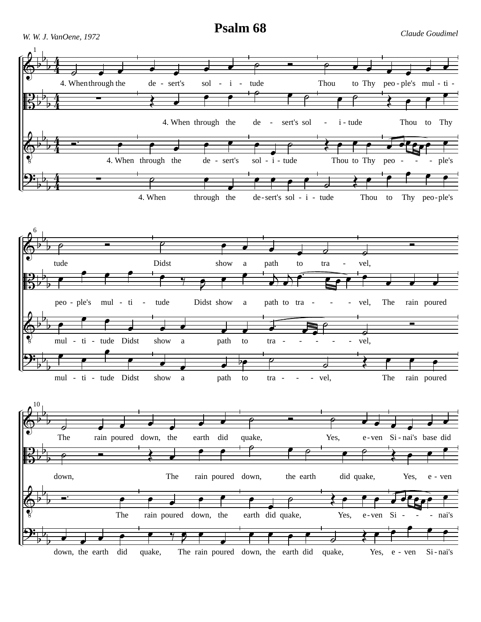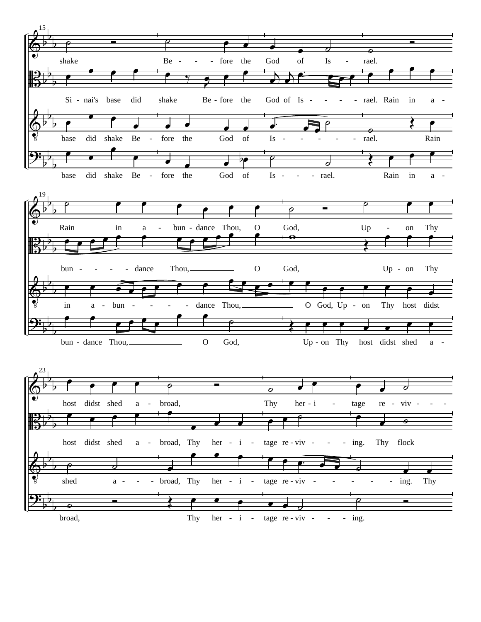